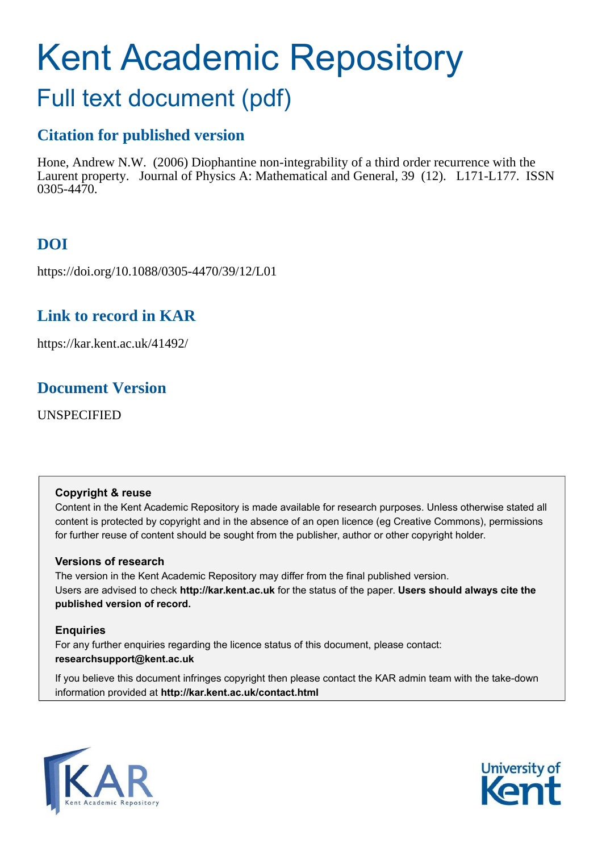# Kent Academic Repository

## Full text document (pdf)

## **Citation for published version**

Hone, Andrew N.W. (2006) Diophantine non-integrability of a third order recurrence with the Laurent property. Journal of Physics A: Mathematical and General, 39 (12). L171-L177. ISSN 0305-4470.

## **DOI**

https://doi.org/10.1088/0305-4470/39/12/L01

## **Link to record in KAR**

https://kar.kent.ac.uk/41492/

## **Document Version**

UNSPECIFIED

#### **Copyright & reuse**

Content in the Kent Academic Repository is made available for research purposes. Unless otherwise stated all content is protected by copyright and in the absence of an open licence (eg Creative Commons), permissions for further reuse of content should be sought from the publisher, author or other copyright holder.

#### **Versions of research**

The version in the Kent Academic Repository may differ from the final published version. Users are advised to check **http://kar.kent.ac.uk** for the status of the paper. **Users should always cite the published version of record.**

#### **Enquiries**

For any further enquiries regarding the licence status of this document, please contact: **researchsupport@kent.ac.uk**

If you believe this document infringes copyright then please contact the KAR admin team with the take-down information provided at **http://kar.kent.ac.uk/contact.html**



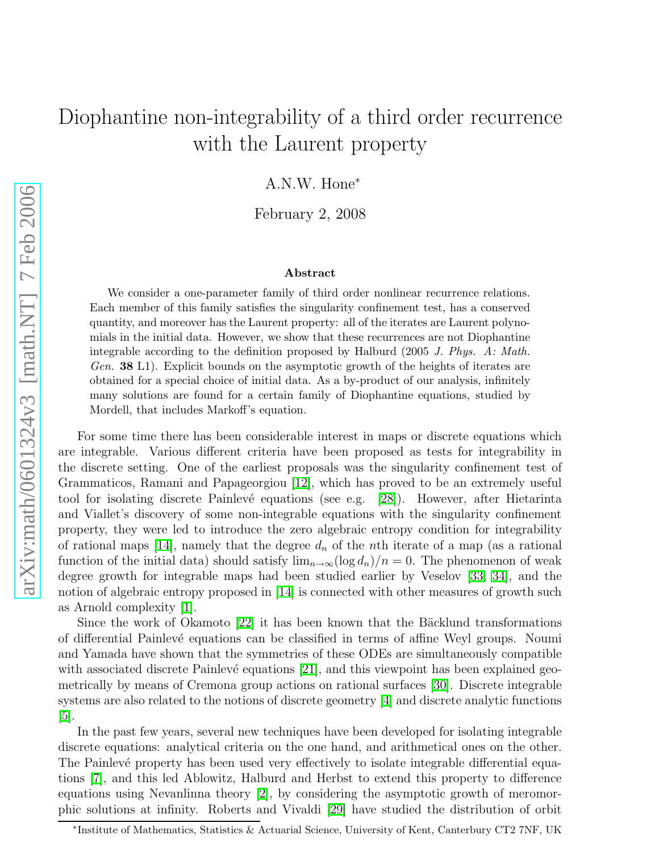## <span id="page-1-0"></span>Diophantine non-integrability of a third order recurrence with the Laurent property

A.N.W. Hone<sup>∗</sup>

February 2, 2008

#### Abstract

We consider a one-parameter family of third order nonlinear recurrence relations. Each member of this family satisfies the singularity confinement test, has a conserved quantity, and moreover has the Laurent property: all of the iterates are Laurent polynomials in the initial data. However, we show that these recurrences are not Diophantine integrable according to the definition proposed by Halburd (2005 J. Phys. A: Math. Gen. **38** L1). Explicit bounds on the asymptotic growth of the heights of iterates are obtained for a special choice of initial data. As a by-product of our analysis, infinitely many solutions are found for a certain family of Diophantine equations, studied by Mordell, that includes Markoff's equation.

<span id="page-1-1"></span>For some time there has been considerable interest in maps or discrete equations which are integrable. Various different criteria have been proposed as tests for integrability in the discrete setting. One of the earliest proposals was the singularity confinement test of Grammaticos, Ramani and Papageorgiou [\[12\]](#page-6-0), which has proved to be an extremely useful tool for isolating discrete Painlevé equations (see e.g. [\[28\]](#page-6-1)). However, after Hietarinta and Viallet's discovery of some non-integrable equations with the singularity confinement property, they were led to introduce the zero algebraic entropy condition for integrability of rational maps [\[14\]](#page-6-2), namely that the degree  $d_n$  of the *n*th iterate of a map (as a rational function of the initial data) should satisfy  $\lim_{n\to\infty} (\log d_n)/n = 0$ . The phenomenon of weak degree growth for integrable maps had been studied earlier by Veselov [\[33,](#page-6-3) [34\]](#page-6-4), and the notion of algebraic entropy proposed in [\[14\]](#page-6-2) is connected with other measures of growth such as Arnold complexity [\[1\]](#page-5-0).

<span id="page-1-3"></span><span id="page-1-2"></span>Since the work of Okamoto  $[22]$  it has been known that the Bäcklund transformations of differential Painlevé equations can be classified in terms of affine Weyl groups. Noumi and Yamada have shown that the symmetries of these ODEs are simultaneously compatible with associated discrete Painlevé equations  $[21]$ , and this viewpoint has been explained geometrically by means of Cremona group actions on rational surfaces [\[30\]](#page-6-7). Discrete integrable systems are also related to the notions of discrete geometry [\[4\]](#page-5-1) and discrete analytic functions [\[5\]](#page-5-2).

In the past few years, several new techniques have been developed for isolating integrable discrete equations: analytical criteria on the one hand, and arithmetical ones on the other. The Painlevé property has been used very effectively to isolate integrable differential equations [\[7\]](#page-6-8), and this led Ablowitz, Halburd and Herbst to extend this property to difference equations using Nevanlinna theory [\[2\]](#page-5-3), by considering the asymptotic growth of meromorphic solutions at infinity. Roberts and Vivaldi [\[29\]](#page-6-9) have studied the distribution of orbit

<span id="page-1-4"></span><sup>∗</sup> Institute of Mathematics, Statistics & Actuarial Science, University of Kent, Canterbury CT2 7NF, UK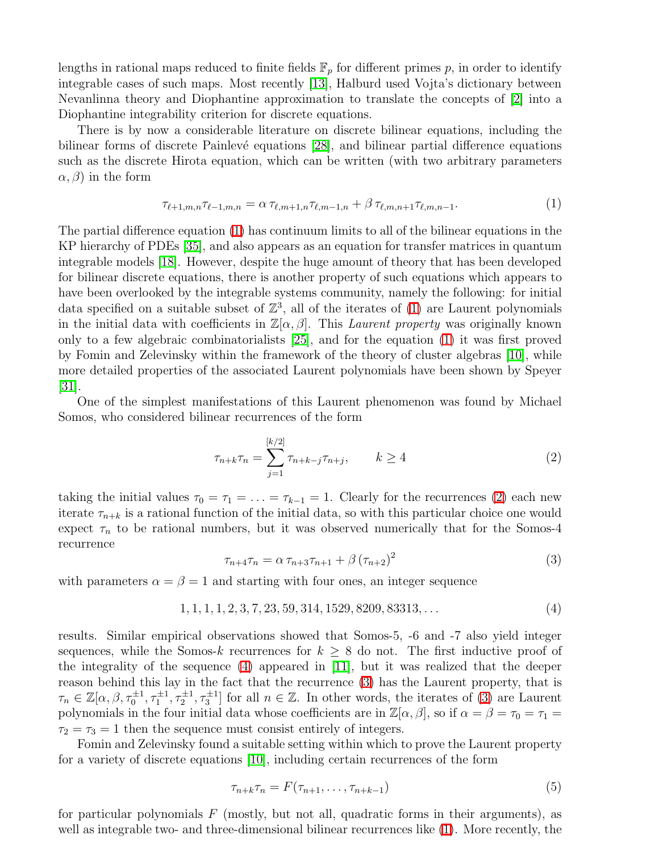lengths in rational maps reduced to finite fields  $\mathbb{F}_p$  for different primes p, in order to identify integrable cases of such maps. Most recently [\[13\]](#page-6-10), Halburd used Vojta's dictionary between Nevanlinna theory and Diophantine approximation to translate the concepts of [\[2\]](#page-5-3) into a Diophantine integrability criterion for discrete equations.

There is by now a considerable literature on discrete bilinear equations, including the bilinear forms of discrete Painlevé equations  $[28]$ , and bilinear partial difference equations such as the discrete Hirota equation, which can be written (with two arbitrary parameters  $(\alpha, \beta)$  in the form

<span id="page-2-0"></span>
$$
\tau_{\ell+1,m,n}\tau_{\ell-1,m,n} = \alpha \tau_{\ell,m+1,n}\tau_{\ell,m-1,n} + \beta \tau_{\ell,m,n+1}\tau_{\ell,m,n-1}.
$$
\n(1)

The partial difference equation [\(1\)](#page-1-0) has continuum limits to all of the bilinear equations in the KP hierarchy of PDEs [\[35\]](#page-6-11), and also appears as an equation for transfer matrices in quantum integrable models [\[18\]](#page-6-12). However, despite the huge amount of theory that has been developed for bilinear discrete equations, there is another property of such equations which appears to have been overlooked by the integrable systems community, namely the following: for initial data specified on a suitable subset of  $\mathbb{Z}^3$ , all of the iterates of [\(1\)](#page-1-0) are Laurent polynomials in the initial data with coefficients in  $\mathbb{Z}[\alpha,\beta]$ . This *Laurent property* was originally known only to a few algebraic combinatorialists [\[25\]](#page-6-13), and for the equation [\(1\)](#page-1-0) it was first proved by Fomin and Zelevinsky within the framework of the theory of cluster algebras [\[10\]](#page-6-14), while more detailed properties of the associated Laurent polynomials have been shown by Speyer  $|31|$ .

<span id="page-2-1"></span>One of the simplest manifestations of this Laurent phenomenon was found by Michael Somos, who considered bilinear recurrences of the form

$$
\tau_{n+k}\tau_n = \sum_{j=1}^{[k/2]} \tau_{n+k-j}\tau_{n+j}, \qquad k \ge 4
$$
\n(2)

taking the initial values  $\tau_0 = \tau_1 = \ldots = \tau_{k-1} = 1$ . Clearly for the recurrences [\(2\)](#page-1-1) each new iterate  $\tau_{n+k}$  is a rational function of the initial data, so with this particular choice one would expect  $\tau_n$  to be rational numbers, but it was observed numerically that for the Somos-4 recurrence

$$
\tau_{n+4}\tau_n = \alpha \,\tau_{n+3}\tau_{n+1} + \beta \,(\tau_{n+2})^2 \tag{3}
$$

with parameters  $\alpha = \beta = 1$  and starting with four ones, an integer sequence

$$
1, 1, 1, 1, 2, 3, 7, 23, 59, 314, 1529, 8209, 83313, \dots
$$
\n
$$
(4)
$$

<span id="page-2-2"></span>results. Similar empirical observations showed that Somos-5, -6 and -7 also yield integer sequences, while the Somos-k recurrences for  $k \geq 8$  do not. The first inductive proof of the integrality of the sequence  $(4)$  appeared in [\[11\]](#page-6-16), but it was realized that the deeper reason behind this lay in the fact that the recurrence [\(3\)](#page-1-3) has the Laurent property, that is  $\tau_n \in \mathbb{Z}[\alpha,\beta,\tau_0^{\pm 1},\tau_1^{\pm 1},\tau_2^{\pm 1},\tau_3^{\pm 1}]$  for all  $n \in \mathbb{Z}$ . In other words, the iterates of [\(3\)](#page-1-3) are Laurent polynomials in the four initial data whose coefficients are in  $\mathbb{Z}[\alpha,\beta]$ , so if  $\alpha = \beta = \tau_0 = \tau_1 =$  $\tau_2 = \tau_3 = 1$  then the sequence must consist entirely of integers.

Fomin and Zelevinsky found a suitable setting within which to prove the Laurent property for a variety of discrete equations [\[10\]](#page-6-14), including certain recurrences of the form

$$
\tau_{n+k}\tau_n = F(\tau_{n+1}, \dots, \tau_{n+k-1}) \tag{5}
$$

for particular polynomials  $F$  (mostly, but not all, quadratic forms in their arguments), as well as integrable two- and three-dimensional bilinear recurrences like [\(1\)](#page-1-0). More recently, the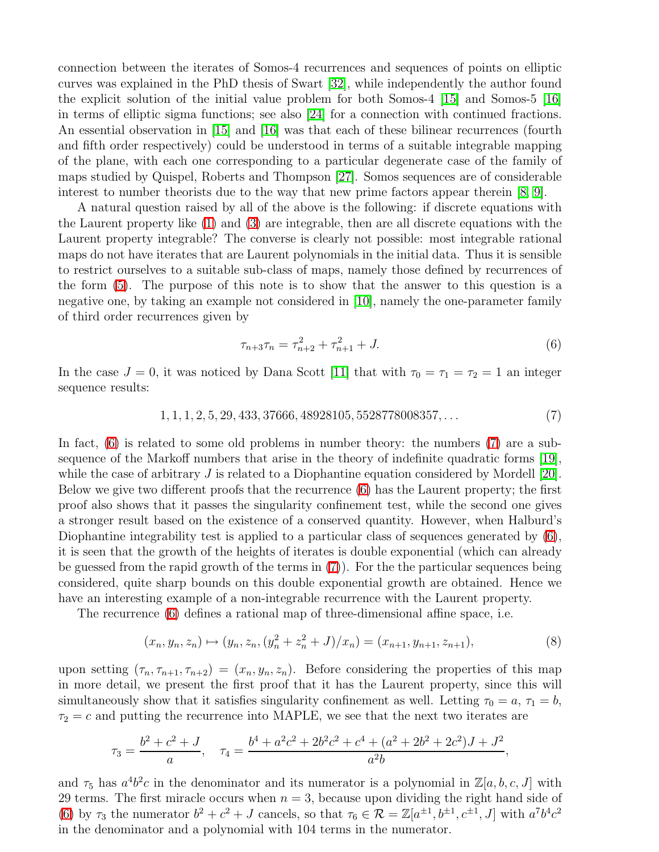connection between the iterates of Somos-4 recurrences and sequences of points on elliptic curves was explained in the PhD thesis of Swart [\[32\]](#page-6-17), while independently the author found the explicit solution of the initial value problem for both Somos-4 [\[15\]](#page-6-18) and Somos-5 [\[16\]](#page-6-19) in terms of elliptic sigma functions; see also [\[24\]](#page-6-20) for a connection with continued fractions. An essential observation in [\[15\]](#page-6-18) and [\[16\]](#page-6-19) was that each of these bilinear recurrences (fourth and fifth order respectively) could be understood in terms of a suitable integrable mapping of the plane, with each one corresponding to a particular degenerate case of the family of maps studied by Quispel, Roberts and Thompson [\[27\]](#page-6-21). Somos sequences are of considerable interest to number theorists due to the way that new prime factors appear therein [\[8,](#page-6-22) [9\]](#page-6-23).

<span id="page-3-1"></span><span id="page-3-0"></span>A natural question raised by all of the above is the following: if discrete equations with the Laurent property like [\(1\)](#page-1-0) and [\(3\)](#page-1-3) are integrable, then are all discrete equations with the Laurent property integrable? The converse is clearly not possible: most integrable rational maps do not have iterates that are Laurent polynomials in the initial data. Thus it is sensible to restrict ourselves to a suitable sub-class of maps, namely those defined by recurrences of the form [\(5\)](#page-1-4). The purpose of this note is to show that the answer to this question is a negative one, by taking an example not considered in [\[10\]](#page-6-14), namely the one-parameter family of third order recurrences given by

$$
\tau_{n+3}\tau_n = \tau_{n+2}^2 + \tau_{n+1}^2 + J. \tag{6}
$$

In the case  $J = 0$ , it was noticed by Dana Scott [\[11\]](#page-6-16) that with  $\tau_0 = \tau_1 = \tau_2 = 1$  an integer sequence results:

$$
1, 1, 1, 2, 5, 29, 433, 37666, 48928105, 5528778008357, \dots \tag{7}
$$

In fact, [\(6\)](#page-2-0) is related to some old problems in number theory: the numbers [\(7\)](#page-2-1) are a subsequence of the Markoff numbers that arise in the theory of indefinite quadratic forms [\[19\]](#page-6-24), while the case of arbitrary  $J$  is related to a Diophantine equation considered by Mordell [\[20\]](#page-6-25). Below we give two different proofs that the recurrence [\(6\)](#page-2-0) has the Laurent property; the first proof also shows that it passes the singularity confinement test, while the second one gives a stronger result based on the existence of a conserved quantity. However, when Halburd's Diophantine integrability test is applied to a particular class of sequences generated by  $(6)$ , it is seen that the growth of the heights of iterates is double exponential (which can already be guessed from the rapid growth of the terms in [\(7\)](#page-2-1)). For the the particular sequences being considered, quite sharp bounds on this double exponential growth are obtained. Hence we have an interesting example of a non-integrable recurrence with the Laurent property.

The recurrence [\(6\)](#page-2-0) defines a rational map of three-dimensional affine space, i.e.

<span id="page-3-3"></span><span id="page-3-2"></span>
$$
(x_n, y_n, z_n) \mapsto (y_n, z_n, (y_n^2 + z_n^2 + J)/x_n) = (x_{n+1}, y_{n+1}, z_{n+1}),
$$
\n(8)

upon setting  $(\tau_n, \tau_{n+1}, \tau_{n+2}) = (x_n, y_n, z_n)$ . Before considering the properties of this map in more detail, we present the first proof that it has the Laurent property, since this will simultaneously show that it satisfies singularity confinement as well. Letting  $\tau_0 = a, \tau_1 = b$ ,  $\tau_2 = c$  and putting the recurrence into MAPLE, we see that the next two iterates are

<span id="page-3-4"></span>
$$
\tau_3 = \frac{b^2 + c^2 + J}{a}, \quad \tau_4 = \frac{b^4 + a^2c^2 + 2b^2c^2 + c^4 + (a^2 + 2b^2 + 2c^2)J + J^2}{a^2b},
$$

and  $\tau_5$  has  $a^4b^2c$  in the denominator and its numerator is a polynomial in  $\mathbb{Z}[a, b, c, J]$  with 29 terms. The first miracle occurs when  $n = 3$ , because upon dividing the right hand side of [\(6\)](#page-2-0) by  $\tau_3$  the numerator  $b^2 + c^2 + J$  cancels, so that  $\tau_6 \in \mathcal{R} = \mathbb{Z}[a^{\pm 1}, b^{\pm 1}, c^{\pm 1}, J]$  with  $a^7b^4c^2$ in the denominator and a polynomial with 104 terms in the numerator.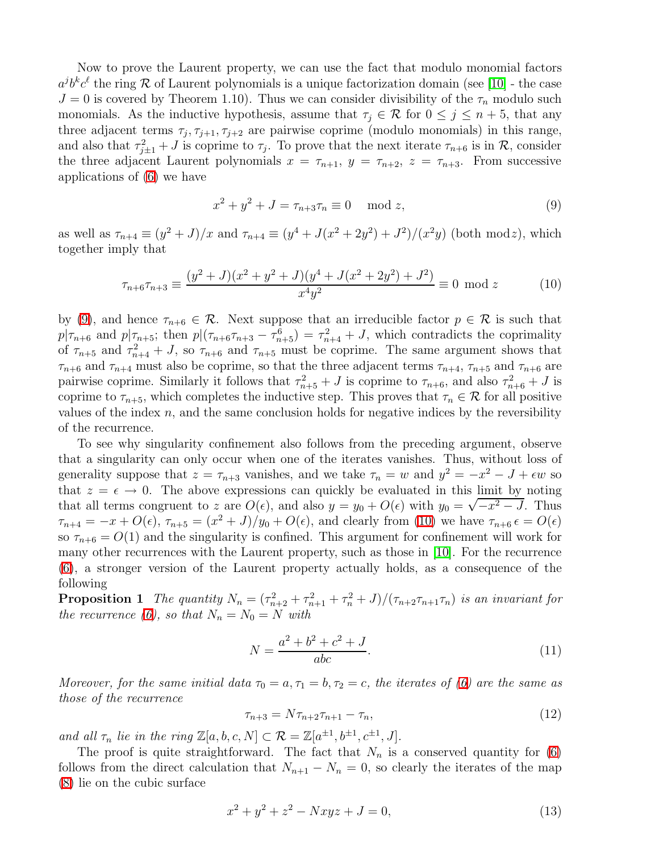<span id="page-4-0"></span>Now to prove the Laurent property, we can use the fact that modulo monomial factors  $a^j b^k c^{\ell}$  the ring R of Laurent polynomials is a unique factorization domain (see [\[10\]](#page-6-14) - the case  $J = 0$  is covered by Theorem 1.10). Thus we can consider divisibility of the  $\tau_n$  modulo such monomials. As the inductive hypothesis, assume that  $\tau_i \in \mathcal{R}$  for  $0 \leq j \leq n+5$ , that any three adjacent terms  $\tau_j$ ,  $\tau_{j+1}$ ,  $\tau_{j+2}$  are pairwise coprime (modulo monomials) in this range, and also that  $\tau_{j\pm 1}^2 + J$  is coprime to  $\tau_j$ . To prove that the next iterate  $\tau_{n+6}$  is in  $\mathcal{R}$ , consider the three adjacent Laurent polynomials  $x = \tau_{n+1}$ ,  $y = \tau_{n+2}$ ,  $z = \tau_{n+3}$ . From successive applications of [\(6\)](#page-2-0) we have

$$
x^2 + y^2 + J = \tau_{n+3}\tau_n \equiv 0 \mod z,
$$
 (9)

as well as  $\tau_{n+4} \equiv (y^2 + J)/x$  and  $\tau_{n+4} \equiv (y^4 + J(x^2 + 2y^2) + J^2)/(x^2y)$  (both modz), which together imply that

$$
\tau_{n+6}\tau_{n+3} \equiv \frac{(y^2+J)(x^2+y^2+J)(y^4+J(x^2+2y^2)+J^2)}{x^4y^2} \equiv 0 \mod z \tag{10}
$$

by [\(9\)](#page-3-0), and hence  $\tau_{n+6} \in \mathcal{R}$ . Next suppose that an irreducible factor  $p \in \mathcal{R}$  is such that  $p|\tau_{n+6}$  and  $p|\tau_{n+5}$ ; then  $p|(\tau_{n+6}\tau_{n+3} - \tau_{n+5}^6) = \tau_{n+4}^2 + J$ , which contradicts the coprimality of  $\tau_{n+5}$  and  $\tau_{n+4}^2 + J$ , so  $\tau_{n+6}$  and  $\tau_{n+5}$  must be coprime. The same argument shows that  $\tau_{n+6}$  and  $\tau_{n+4}$  must also be coprime, so that the three adjacent terms  $\tau_{n+4}$ ,  $\tau_{n+5}$  and  $\tau_{n+6}$  are pairwise coprime. Similarly it follows that  $\tau_{n+5}^2 + J$  is coprime to  $\tau_{n+6}$ , and also  $\tau_{n+6}^2 + J$  is coprime to  $\tau_{n+5}$ , which completes the inductive step. This proves that  $\tau_n \in \mathcal{R}$  for all positive values of the index  $n$ , and the same conclusion holds for negative indices by the reversibility of the recurrence.

To see why singularity confinement also follows from the preceding argument, observe that a singularity can only occur when one of the iterates vanishes. Thus, without loss of generality suppose that  $z = \tau_{n+3}$  vanishes, and we take  $\tau_n = w$  and  $y^2 = -x^2 - J + \epsilon w$  so that  $z = \epsilon \to 0$ . The above expressions can quickly be evaluated in this limit by noting that all terms congruent to z are  $O(\epsilon)$ , and also  $y = y_0 + O(\epsilon)$  with  $y_0 = \sqrt{-x^2 - J}$ . Thus  $\tau_{n+4} = -x + O(\epsilon)$ ,  $\tau_{n+5} = (x^2 + J)/y_0 + O(\epsilon)$ , and clearly from [\(10\)](#page-3-1) we have  $\tau_{n+6} \epsilon = O(\epsilon)$ so  $\tau_{n+6} = O(1)$  and the singularity is confined. This argument for confinement will work for many other recurrences with the Laurent property, such as those in [\[10\]](#page-6-14). For the recurrence [\(6\)](#page-2-0), a stronger version of the Laurent property actually holds, as a consequence of the following

**Proposition 1** The quantity  $N_n = (\tau_{n+2}^2 + \tau_{n+1}^2 + \tau_n^2 + J)/(\tau_{n+2}\tau_{n+1}\tau_n)$  is an invariant for the recurrence [\(6\)](#page-2-0), so that  $N_n = N_0 = N$  with

$$
N = \frac{a^2 + b^2 + c^2 + J}{abc}.
$$
\n(11)

Moreover, for the same initial data  $\tau_0 = a, \tau_1 = b, \tau_2 = c$ , the iterates of [\(6\)](#page-2-0) are the same as those of the recurrence

$$
\tau_{n+3} = N \tau_{n+2} \tau_{n+1} - \tau_n,\tag{12}
$$

and all  $\tau_n$  lie in the ring  $\mathbb{Z}[a, b, c, N] \subset \mathcal{R} = \mathbb{Z}[a^{\pm 1}, b^{\pm 1}, c^{\pm 1}, J].$ 

<span id="page-4-1"></span>The proof is quite straightforward. The fact that  $N_n$  is a conserved quantity for [\(6\)](#page-2-0) follows from the direct calculation that  $N_{n+1} - N_n = 0$ , so clearly the iterates of the map [\(8\)](#page-2-2) lie on the cubic surface

$$
x^2 + y^2 + z^2 - Nxyz + J = 0,\t(13)
$$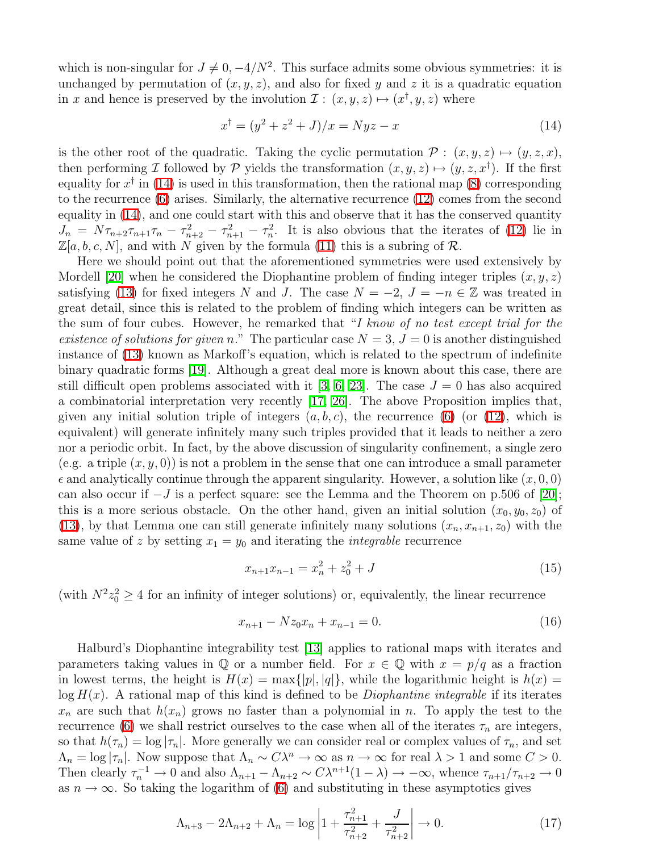which is non-singular for  $J \neq 0, -4/N^2$ . This surface admits some obvious symmetries: it is unchanged by permutation of  $(x, y, z)$ , and also for fixed y and z it is a quadratic equation in x and hence is preserved by the involution  $\mathcal{I}: (x, y, z) \mapsto (x^{\dagger}, y, z)$  where

$$
x^{\dagger} = (y^2 + z^2 + J)/x = Nyz - x \tag{14}
$$

<span id="page-5-5"></span>is the other root of the quadratic. Taking the cyclic permutation  $P : (x, y, z) \mapsto (y, z, x),$ then performing I followed by P yields the transformation  $(x, y, z) \mapsto (y, z, x^{\dagger})$ . If the first equality for  $x^{\dagger}$  in [\(14\)](#page-4-0) is used in this transformation, then the rational map [\(8\)](#page-2-2) corresponding to the recurrence [\(6\)](#page-2-0) arises. Similarly, the alternative recurrence [\(12\)](#page-3-2) comes from the second equality in [\(14\)](#page-4-0), and one could start with this and observe that it has the conserved quantity  $J_n = N\tau_{n+2}\tau_{n+1}\tau_n - \tau_{n+2}^2 - \tau_{n+1}^2 - \tau_n^2$ . It is also obvious that the iterates of [\(12\)](#page-3-2) lie in  $\mathbb{Z}[a, b, c, N]$ , and with N given by the formula [\(11\)](#page-3-3) this is a subring of R.

Here we should point out that the aforementioned symmetries were used extensively by Mordell [\[20\]](#page-6-25) when he considered the Diophantine problem of finding integer triples  $(x, y, z)$ satisfying [\(13\)](#page-3-4) for fixed integers N and J. The case  $N = -2$ ,  $J = -n \in \mathbb{Z}$  was treated in great detail, since this is related to the problem of finding which integers can be written as the sum of four cubes. However, he remarked that "I know of no test except trial for the existence of solutions for given n." The particular case  $N = 3$ ,  $J = 0$  is another distinguished instance of [\(13\)](#page-3-4) known as Markoff's equation, which is related to the spectrum of indefinite binary quadratic forms [\[19\]](#page-6-24). Although a great deal more is known about this case, there are still difficult open problems associated with it [\[3,](#page-5-4) [6,](#page-6-26) [23\]](#page-6-27). The case  $J = 0$  has also acquired a combinatorial interpretation very recently [\[17,](#page-6-28) [26\]](#page-6-29). The above Proposition implies that, given any initial solution triple of integers  $(a, b, c)$ , the recurrence [\(6\)](#page-2-0) (or [\(12\)](#page-3-2), which is equivalent) will generate infinitely many such triples provided that it leads to neither a zero nor a periodic orbit. In fact, by the above discussion of singularity confinement, a single zero (e.g. a triple  $(x, y, 0)$ ) is not a problem in the sense that one can introduce a small parameter  $\epsilon$  and analytically continue through the apparent singularity. However, a solution like  $(x, 0, 0)$ can also occur if  $-J$  is a perfect square: see the Lemma and the Theorem on p.506 of [\[20\]](#page-6-25); this is a more serious obstacle. On the other hand, given an initial solution  $(x_0, y_0, z_0)$  of [\(13\)](#page-3-4), by that Lemma one can still generate infinitely many solutions  $(x_n, x_{n+1}, z_0)$  with the same value of z by setting  $x_1 = y_0$  and iterating the *integrable* recurrence

$$
x_{n+1}x_{n-1} = x_n^2 + z_0^2 + J \tag{15}
$$

(with  $N^2 z_0^2 \geq 4$  for an infinity of integer solutions) or, equivalently, the linear recurrence

$$
x_{n+1} - Nz_0 x_n + x_{n-1} = 0. \tag{16}
$$

<span id="page-5-4"></span><span id="page-5-3"></span><span id="page-5-2"></span><span id="page-5-1"></span><span id="page-5-0"></span>Halburd's Diophantine integrability test [\[13\]](#page-6-10) applies to rational maps with iterates and parameters taking values in  $\mathbb Q$  or a number field. For  $x \in \mathbb Q$  with  $x = p/q$  as a fraction in lowest terms, the height is  $H(x) = \max\{|p|, |q|\}$ , while the logarithmic height is  $h(x) =$  $log H(x)$ . A rational map of this kind is defined to be *Diophantine integrable* if its iterates  $x_n$  are such that  $h(x_n)$  grows no faster than a polynomial in n. To apply the test to the recurrence [\(6\)](#page-2-0) we shall restrict ourselves to the case when all of the iterates  $\tau_n$  are integers, so that  $h(\tau_n) = \log |\tau_n|$ . More generally we can consider real or complex values of  $\tau_n$ , and set  $\Lambda_n = \log |\tau_n|$ . Now suppose that  $\Lambda_n \sim C\lambda^n \to \infty$  as  $n \to \infty$  for real  $\lambda > 1$  and some  $C > 0$ . Then clearly  $\tau_n^{-1} \to 0$  and also  $\Lambda_{n+1} - \Lambda_{n+2} \sim C \lambda^{n+1} (1 - \lambda) \to -\infty$ , whence  $\tau_{n+1}/\tau_{n+2} \to 0$ as  $n \to \infty$ . So taking the logarithm of [\(6\)](#page-2-0) and substituting in these asymptotics gives

$$
\Lambda_{n+3} - 2\Lambda_{n+2} + \Lambda_n = \log \left| 1 + \frac{\tau_{n+1}^2}{\tau_{n+2}^2} + \frac{J}{\tau_{n+2}^2} \right| \to 0. \tag{17}
$$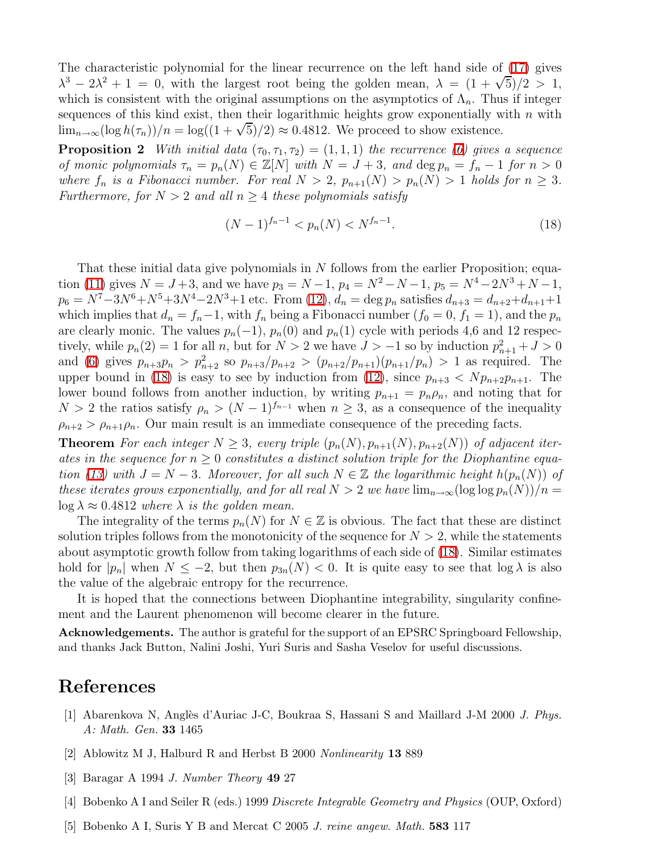<span id="page-6-26"></span><span id="page-6-8"></span>The characteristic polynomial for the linear recurrence on the left hand side of [\(17\)](#page-4-1) gives  $\lambda^3 - 2\lambda^2 + 1 = 0$ , with the largest root being the golden mean,  $\lambda = (1 + \sqrt{5})/2 > 1$ , which is consistent with the original assumptions on the asymptotics of  $\Lambda_n$ . Thus if integer sequences of this kind exist, then their logarithmic heights grow exponentially with  $n$  with  $\lim_{n\to\infty} (\log h(\tau_n))/n = \log((1+\sqrt{5})/2) \approx 0.4812$ . We proceed to show existence.

<span id="page-6-23"></span><span id="page-6-22"></span><span id="page-6-16"></span><span id="page-6-14"></span>**Proposition 2** With initial data  $(\tau_0, \tau_1, \tau_2) = (1, 1, 1)$  the recurrence [\(6\)](#page-2-0) gives a sequence of monic polynomials  $\tau_n = p_n(N) \in \mathbb{Z}[N]$  with  $N = J + 3$ , and  $\deg p_n = f_n - 1$  for  $n > 0$ where  $f_n$  is a Fibonacci number. For real  $N > 2$ ,  $p_{n+1}(N) > p_n(N) > 1$  holds for  $n \geq 3$ . Furthermore, for  $N > 2$  and all  $n \geq 4$  these polynomials satisfy

$$
(N-1)^{f_n-1} < p_n(N) < N^{f_n-1}.\tag{18}
$$

<span id="page-6-28"></span><span id="page-6-19"></span><span id="page-6-18"></span><span id="page-6-10"></span><span id="page-6-2"></span><span id="page-6-0"></span>That these initial data give polynomials in  $N$  follows from the earlier Proposition; equa-tion [\(11\)](#page-3-3) gives  $N = J + 3$ , and we have  $p_3 = N - 1$ ,  $p_4 = N^2 - N - 1$ ,  $p_5 = N^4 - 2N^3 + N - 1$ ,  $p_6 = N^7 - 3N^6 + N^5 + 3N^4 - 2N^3 + 1$  etc. From [\(12\)](#page-3-2),  $d_n = \deg p_n$  satisfies  $d_{n+3} = d_{n+2} + d_{n+1} + 1$ which implies that  $d_n = f_n - 1$ , with  $f_n$  being a Fibonacci number  $(f_0 = 0, f_1 = 1)$ , and the  $p_n$ are clearly monic. The values  $p_n(-1)$ ,  $p_n(0)$  and  $p_n(1)$  cycle with periods 4,6 and 12 respectively, while  $p_n(2) = 1$  for all n, but for  $N > 2$  we have  $J > -1$  so by induction  $p_{n+1}^2 + J > 0$ and [\(6\)](#page-2-0) gives  $p_{n+3}p_n > p_{n+2}^2$  so  $p_{n+3}/p_{n+2} > (p_{n+2}/p_{n+1})(p_{n+1}/p_n) > 1$  as required. The upper bound in [\(18\)](#page-5-5) is easy to see by induction from [\(12\)](#page-3-2), since  $p_{n+3} < Np_{n+2}p_{n+1}$ . The lower bound follows from another induction, by writing  $p_{n+1} = p_n \rho_n$ , and noting that for  $N > 2$  the ratios satisfy  $\rho_n > (N-1)^{f_{n-1}}$  when  $n \geq 3$ , as a consequence of the inequality  $\rho_{n+2} > \rho_{n+1}\rho_n$ . Our main result is an immediate consequence of the preceding facts.

<span id="page-6-25"></span><span id="page-6-24"></span><span id="page-6-12"></span><span id="page-6-6"></span>**Theorem** For each integer  $N \geq 3$ , every triple  $(p_n(N), p_{n+1}(N), p_{n+2}(N))$  of adjacent iterates in the sequence for  $n \geq 0$  constitutes a distinct solution triple for the Diophantine equa-tion [\(13\)](#page-3-4) with  $J = N - 3$ . Moreover, for all such  $N \in \mathbb{Z}$  the logarithmic height  $h(p_n(N))$  of these iterates grows exponentially, and for all real  $N > 2$  we have  $\lim_{n \to \infty} (\log \log p_n(N))/n =$  $\log \lambda \approx 0.4812$  where  $\lambda$  is the golden mean.

<span id="page-6-27"></span><span id="page-6-20"></span><span id="page-6-13"></span><span id="page-6-5"></span>The integrality of the terms  $p_n(N)$  for  $N \in \mathbb{Z}$  is obvious. The fact that these are distinct solution triples follows from the monotonicity of the sequence for  $N > 2$ , while the statements about asymptotic growth follow from taking logarithms of each side of [\(18\)](#page-5-5). Similar estimates hold for  $|p_n|$  when  $N \leq -2$ , but then  $p_{3n}(N) < 0$ . It is quite easy to see that  $\log \lambda$  is also the value of the algebraic entropy for the recurrence.

<span id="page-6-29"></span><span id="page-6-21"></span>It is hoped that the connections between Diophantine integrability, singularity confinement and the Laurent phenomenon will become clearer in the future.

<span id="page-6-1"></span>Acknowledgements. The author is grateful for the support of an EPSRC Springboard Fellowship, and thanks Jack Button, Nalini Joshi, Yuri Suris and Sasha Veselov for useful discussions.

#### <span id="page-6-15"></span><span id="page-6-9"></span><span id="page-6-7"></span>References

- <span id="page-6-17"></span>[1] Abarenkova N, Anglès d'Auriac J-C, Boukraa S, Hassani S and Maillard J-M 2000 J. Phys. A: Math. Gen. 33 1465
- <span id="page-6-3"></span>[2] Ablowitz M J, Halburd R and Herbst B 2000 Nonlinearity 13 889
- <span id="page-6-4"></span>[3] Baragar A 1994 J. Number Theory 49 27
- <span id="page-6-11"></span>[4] Bobenko A I and Seiler R (eds.) 1999 Discrete Integrable Geometry and Physics (OUP, Oxford)
- [5] Bobenko A I, Suris Y B and Mercat C 2005 J. reine angew. Math. 583 117